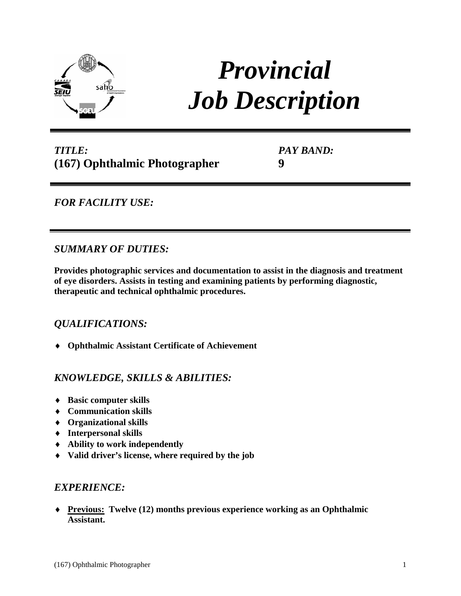

# *Provincial Job Description*

# *TITLE:* **(167) Ophthalmic Photographer**

*PAY BAND:* **9**

# *FOR FACILITY USE:*

## *SUMMARY OF DUTIES:*

**Provides photographic services and documentation to assist in the diagnosis and treatment of eye disorders. Assists in testing and examining patients by performing diagnostic, therapeutic and technical ophthalmic procedures.**

## *QUALIFICATIONS:*

♦ **Ophthalmic Assistant Certificate of Achievement**

## *KNOWLEDGE, SKILLS & ABILITIES:*

- ♦ **Basic computer skills**
- ♦ **Communication skills**
- ♦ **Organizational skills**
- ♦ **Interpersonal skills**
- ♦ **Ability to work independently**
- ♦ **Valid driver's license, where required by the job**

#### *EXPERIENCE:*

♦ **Previous: Twelve (12) months previous experience working as an Ophthalmic Assistant.**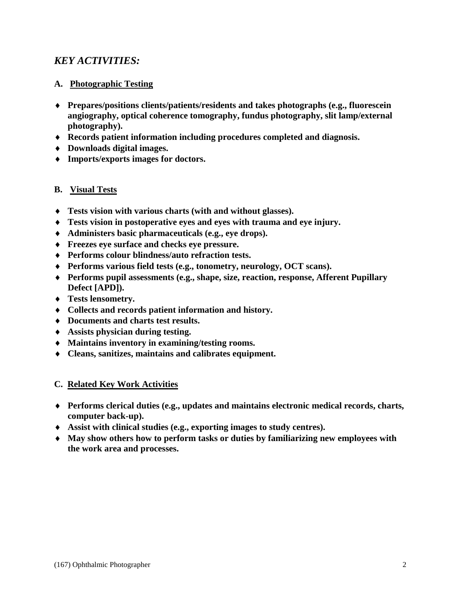# *KEY ACTIVITIES:*

#### **A. Photographic Testing**

- ♦ **Prepares/positions clients/patients/residents and takes photographs (e.g., fluorescein angiography, optical coherence tomography, fundus photography, slit lamp/external photography).**
- ♦ **Records patient information including procedures completed and diagnosis.**
- ♦ **Downloads digital images.**
- ♦ **Imports/exports images for doctors.**

#### **B. Visual Tests**

- ♦ **Tests vision with various charts (with and without glasses).**
- ♦ **Tests vision in postoperative eyes and eyes with trauma and eye injury.**
- ♦ **Administers basic pharmaceuticals (e.g., eye drops).**
- ♦ **Freezes eye surface and checks eye pressure.**
- ♦ **Performs colour blindness/auto refraction tests.**
- ♦ **Performs various field tests (e.g., tonometry, neurology, OCT scans).**
- ♦ **Performs pupil assessments (e.g., shape, size, reaction, response, Afferent Pupillary Defect [APD]).**
- ♦ **Tests lensometry.**
- ♦ **Collects and records patient information and history.**
- ♦ **Documents and charts test results.**
- ♦ **Assists physician during testing.**
- ♦ **Maintains inventory in examining/testing rooms.**
- ♦ **Cleans, sanitizes, maintains and calibrates equipment.**

#### **C. Related Key Work Activities**

- ♦ **Performs clerical duties (e.g., updates and maintains electronic medical records, charts, computer back-up).**
- ♦ **Assist with clinical studies (e.g., exporting images to study centres).**
- ♦ **May show others how to perform tasks or duties by familiarizing new employees with the work area and processes.**